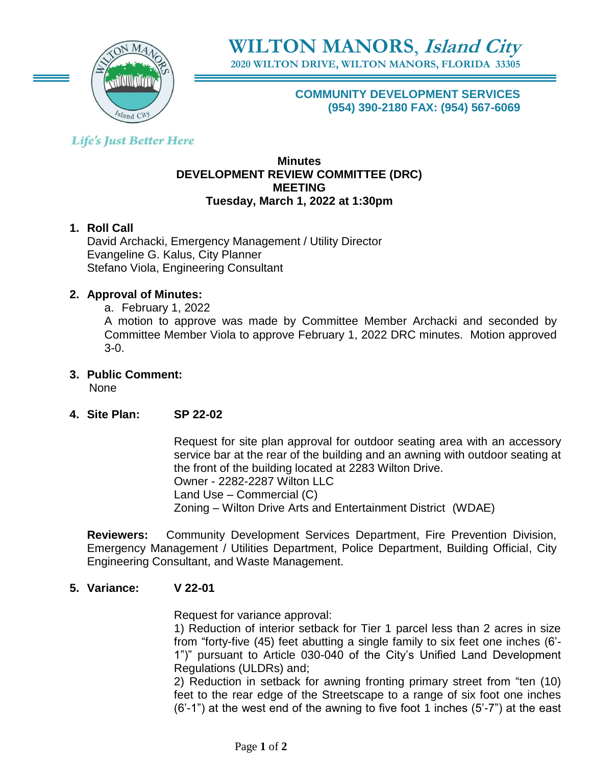

**2020 WILTON DRIVE, WILTON MANORS, FLORIDA 33305**

**COMMUNITY DEVELOPMENT SERVICES (954) 390-2180 FAX: (954) 567-6069**

## **Life's Just Better Here**

### **Minutes DEVELOPMENT REVIEW COMMITTEE (DRC) MEETING Tuesday, March 1, 2022 at 1:30pm**

## **1. Roll Call**

David Archacki, Emergency Management / Utility Director Evangeline G. Kalus, City Planner Stefano Viola, Engineering Consultant

## **2. Approval of Minutes:**

a. February 1, 2022

A motion to approve was made by Committee Member Archacki and seconded by Committee Member Viola to approve February 1, 2022 DRC minutes. Motion approved 3-0.

- **3. Public Comment:**  None
- **4. Site Plan: SP 22-02**

Request for site plan approval for outdoor seating area with an accessory service bar at the rear of the building and an awning with outdoor seating at the front of the building located at 2283 Wilton Drive. Owner - 2282-2287 Wilton LLC Land Use – Commercial (C) Zoning – Wilton Drive Arts and Entertainment District (WDAE)

**Reviewers:** Community Development Services Department, Fire Prevention Division, Emergency Management / Utilities Department, Police Department, Building Official, City Engineering Consultant, and Waste Management.

## **5. Variance: V 22-01**

Request for variance approval:

1) Reduction of interior setback for Tier 1 parcel less than 2 acres in size from "forty-five (45) feet abutting a single family to six feet one inches (6'- 1")" pursuant to Article 030-040 of the City's Unified Land Development Regulations (ULDRs) and;

2) Reduction in setback for awning fronting primary street from "ten (10) feet to the rear edge of the Streetscape to a range of six foot one inches (6'-1") at the west end of the awning to five foot 1 inches (5'-7") at the east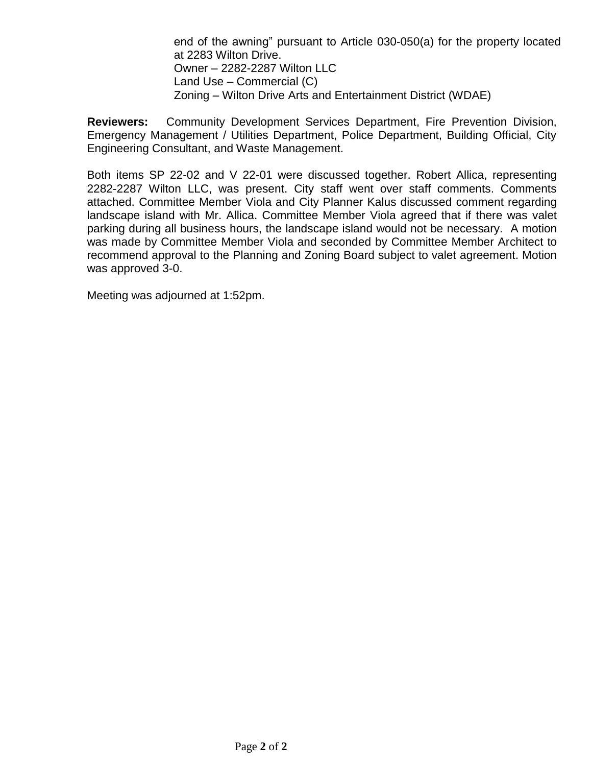end of the awning" pursuant to Article 030-050(a) for the property located at 2283 Wilton Drive. Owner – 2282-2287 Wilton LLC Land Use – Commercial (C) Zoning – Wilton Drive Arts and Entertainment District (WDAE)

**Reviewers:** Community Development Services Department, Fire Prevention Division, Emergency Management / Utilities Department, Police Department, Building Official, City Engineering Consultant, and Waste Management.

Both items SP 22-02 and V 22-01 were discussed together. Robert Allica, representing 2282-2287 Wilton LLC, was present. City staff went over staff comments. Comments attached. Committee Member Viola and City Planner Kalus discussed comment regarding landscape island with Mr. Allica. Committee Member Viola agreed that if there was valet parking during all business hours, the landscape island would not be necessary. A motion was made by Committee Member Viola and seconded by Committee Member Architect to recommend approval to the Planning and Zoning Board subject to valet agreement. Motion was approved 3-0.

Meeting was adjourned at 1:52pm.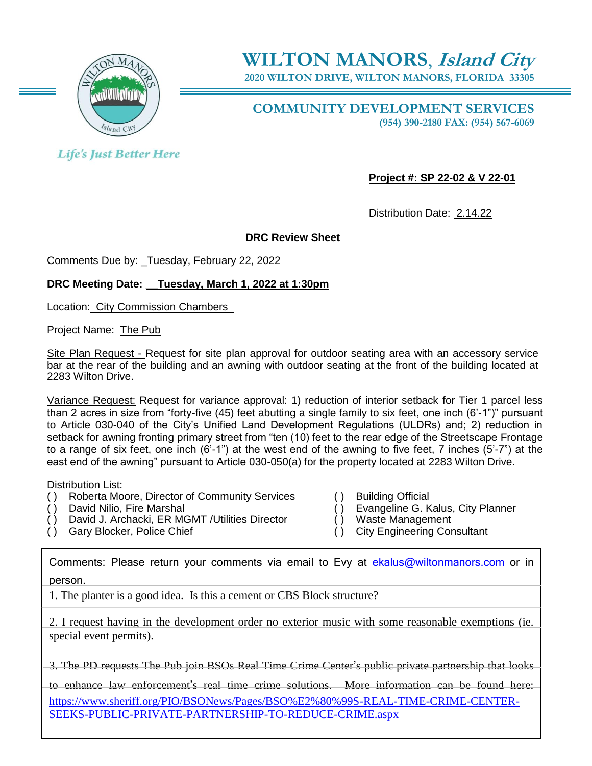

**2020 WILTON DRIVE, WILTON MANORS, FLORIDA 33305**

**COMMUNITY DEVELOPMENT SERVICES (954) 390-2180 FAX: (954) 567-6069**

**Life's Just Better Here** 

**Project #: SP 22-02 & V 22-01**

Distribution Date: 2.14.22

#### **DRC Review Sheet**

Comments Due by: \_Tuesday, February 22, 2022

#### **DRC Meeting Date: \_\_Tuesday, March 1, 2022 at 1:30pm**

Location: City Commission Chambers\_

Project Name: The Pub

Site Plan Request - Request for site plan approval for outdoor seating area with an accessory service bar at the rear of the building and an awning with outdoor seating at the front of the building located at 2283 Wilton Drive.

Variance Request: Request for variance approval: 1) reduction of interior setback for Tier 1 parcel less than 2 acres in size from "forty-five (45) feet abutting a single family to six feet, one inch (6'-1")" pursuant to Article 030-040 of the City's Unified Land Development Regulations (ULDRs) and; 2) reduction in setback for awning fronting primary street from "ten (10) feet to the rear edge of the Streetscape Frontage to a range of six feet, one inch (6'-1") at the west end of the awning to five feet, 7 inches (5'-7") at the east end of the awning" pursuant to Article 030-050(a) for the property located at 2283 Wilton Drive.

Distribution List:

- ( ) Roberta Moore, Director of Community Services ( ) Building Official
- 
- ( ) David Nilio, Fire Marshal ( ) Evangeline G. Kalus, City Planner<br>( ) David J. Archacki, ER MGMT /Utilities Director ( ) Waste Management  $( )$  David J. Archacki, ER MGMT /Utilities Director
- 
- 
- 
- 
- ( ) Gary Blocker, Police Chief ( ) City Engineering Consultant

Comments: Please return your comments via email to Evy at [ekalus@wiltonmanors.com](mailto:ekalus@wiltonmanors.com) or in person.

1. The planter is a good idea. Is this a cement or CBS Block structure?

2. I request having in the development order no exterior music with some reasonable exemptions (ie. special event permits).

3. The PD requests The Pub join BSOs Real Time Crime Center's public private partnership that looks

to enhance law enforcement's real time crime solutions. More information can be found here: [https://www.sheriff.org/PIO/BSONews/Pages/BSO%E2%80%99S-REAL-TIME-CRIME-CENTER-](https://www.sheriff.org/PIO/BSONews/Pages/BSO%E2%80%99S-REAL-TIME-CRIME-CENTER-SEEKS-PUBLIC-PRIVATE-PARTNERSHIP-TO-REDUCE-CRIME.aspx)[SEEKS-PUBLIC-PRIVATE-PARTNERSHIP-TO-REDUCE-CRIME.aspx](https://www.sheriff.org/PIO/BSONews/Pages/BSO%E2%80%99S-REAL-TIME-CRIME-CENTER-SEEKS-PUBLIC-PRIVATE-PARTNERSHIP-TO-REDUCE-CRIME.aspx)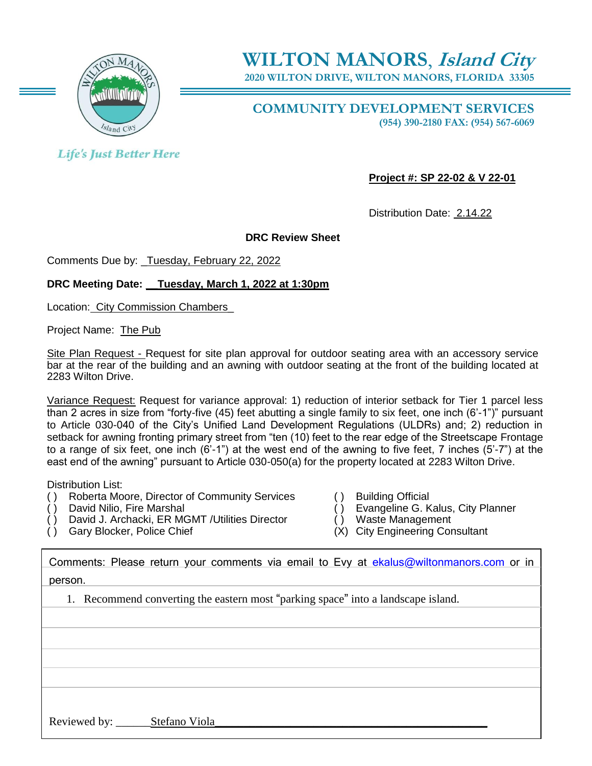

**2020 WILTON DRIVE, WILTON MANORS, FLORIDA 33305**

**COMMUNITY DEVELOPMENT SERVICES (954) 390-2180 FAX: (954) 567-6069**

**Life's Just Better Here** 

**Project #: SP 22-02 & V 22-01**

Distribution Date: 2.14.22

#### **DRC Review Sheet**

Comments Due by: \_Tuesday, February 22, 2022

#### **DRC Meeting Date: \_\_Tuesday, March 1, 2022 at 1:30pm**

Location: City Commission Chambers\_

Project Name: The Pub

Site Plan Request - Request for site plan approval for outdoor seating area with an accessory service bar at the rear of the building and an awning with outdoor seating at the front of the building located at 2283 Wilton Drive.

Variance Request: Request for variance approval: 1) reduction of interior setback for Tier 1 parcel less than 2 acres in size from "forty-five (45) feet abutting a single family to six feet, one inch (6'-1")" pursuant to Article 030-040 of the City's Unified Land Development Regulations (ULDRs) and; 2) reduction in setback for awning fronting primary street from "ten (10) feet to the rear edge of the Streetscape Frontage to a range of six feet, one inch (6'-1") at the west end of the awning to five feet, 7 inches (5'-7") at the east end of the awning" pursuant to Article 030-050(a) for the property located at 2283 Wilton Drive.

Distribution List:

- ( ) Roberta Moore, Director of Community Services ( ) Building Official
- 
- ( ) David J. Archacki, ER MGMT /Utilities Director ( ) Waste Management
- 
- 
- ( ) David Nilio, Fire Marshal ( ) Evangeline G. Kalus, City Planner
	-
- ( ) Gary Blocker, Police Chief (X) City Engineering Consultant

| Comments: Please return your comments via email to Evy at ekalus@wiltonmanors.com or in |
|-----------------------------------------------------------------------------------------|
| person.                                                                                 |
| 1. Recommend converting the eastern most "parking space" into a landscape island.       |
|                                                                                         |
|                                                                                         |
|                                                                                         |
|                                                                                         |
|                                                                                         |
| Reviewed by:<br>Stefano Viola                                                           |